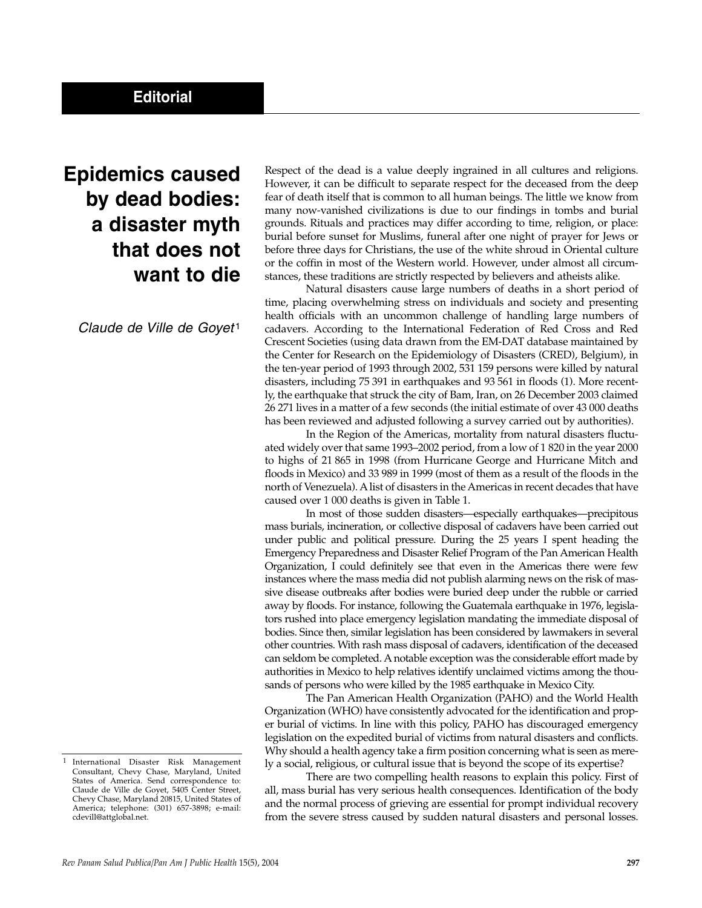## **Epidemics caused by dead bodies: a disaster myth that does not want to die**

*Claude de Ville de Goyet* <sup>1</sup>

Respect of the dead is a value deeply ingrained in all cultures and religions. However, it can be difficult to separate respect for the deceased from the deep fear of death itself that is common to all human beings. The little we know from many now-vanished civilizations is due to our findings in tombs and burial grounds. Rituals and practices may differ according to time, religion, or place: burial before sunset for Muslims, funeral after one night of prayer for Jews or before three days for Christians, the use of the white shroud in Oriental culture or the coffin in most of the Western world. However, under almost all circumstances, these traditions are strictly respected by believers and atheists alike.

Natural disasters cause large numbers of deaths in a short period of time, placing overwhelming stress on individuals and society and presenting health officials with an uncommon challenge of handling large numbers of cadavers. According to the International Federation of Red Cross and Red Crescent Societies (using data drawn from the EM-DAT database maintained by the Center for Research on the Epidemiology of Disasters (CRED), Belgium), in the ten-year period of 1993 through 2002, 531 159 persons were killed by natural disasters, including 75 391 in earthquakes and 93 561 in floods (1). More recently, the earthquake that struck the city of Bam, Iran, on 26 December 2003 claimed 26 271 lives in a matter of a few seconds (the initial estimate of over 43 000 deaths has been reviewed and adjusted following a survey carried out by authorities).

In the Region of the Americas, mortality from natural disasters fluctuated widely over that same 1993–2002 period, from a low of 1 820 in the year 2000 to highs of 21 865 in 1998 (from Hurricane George and Hurricane Mitch and floods in Mexico) and 33 989 in 1999 (most of them as a result of the floods in the north of Venezuela). A list of disasters in the Americas in recent decades that have caused over 1 000 deaths is given in Table 1.

In most of those sudden disasters—especially earthquakes—precipitous mass burials, incineration, or collective disposal of cadavers have been carried out under public and political pressure. During the 25 years I spent heading the Emergency Preparedness and Disaster Relief Program of the Pan American Health Organization, I could definitely see that even in the Americas there were few instances where the mass media did not publish alarming news on the risk of massive disease outbreaks after bodies were buried deep under the rubble or carried away by floods. For instance, following the Guatemala earthquake in 1976, legislators rushed into place emergency legislation mandating the immediate disposal of bodies. Since then, similar legislation has been considered by lawmakers in several other countries. With rash mass disposal of cadavers, identification of the deceased can seldom be completed. A notable exception was the considerable effort made by authorities in Mexico to help relatives identify unclaimed victims among the thousands of persons who were killed by the 1985 earthquake in Mexico City.

The Pan American Health Organization (PAHO) and the World Health Organization (WHO) have consistently advocated for the identification and proper burial of victims. In line with this policy, PAHO has discouraged emergency legislation on the expedited burial of victims from natural disasters and conflicts. Why should a health agency take a firm position concerning what is seen as merely a social, religious, or cultural issue that is beyond the scope of its expertise?

There are two compelling health reasons to explain this policy. First of all, mass burial has very serious health consequences. Identification of the body and the normal process of grieving are essential for prompt individual recovery from the severe stress caused by sudden natural disasters and personal losses.

<sup>1</sup> International Disaster Risk Management Consultant, Chevy Chase, Maryland, United States of America. Send correspondence to: Claude de Ville de Goyet, 5405 Center Street, Chevy Chase, Maryland 20815, United States of America; telephone: (301) 657-3898; e-mail: cdevill@attglobal.net.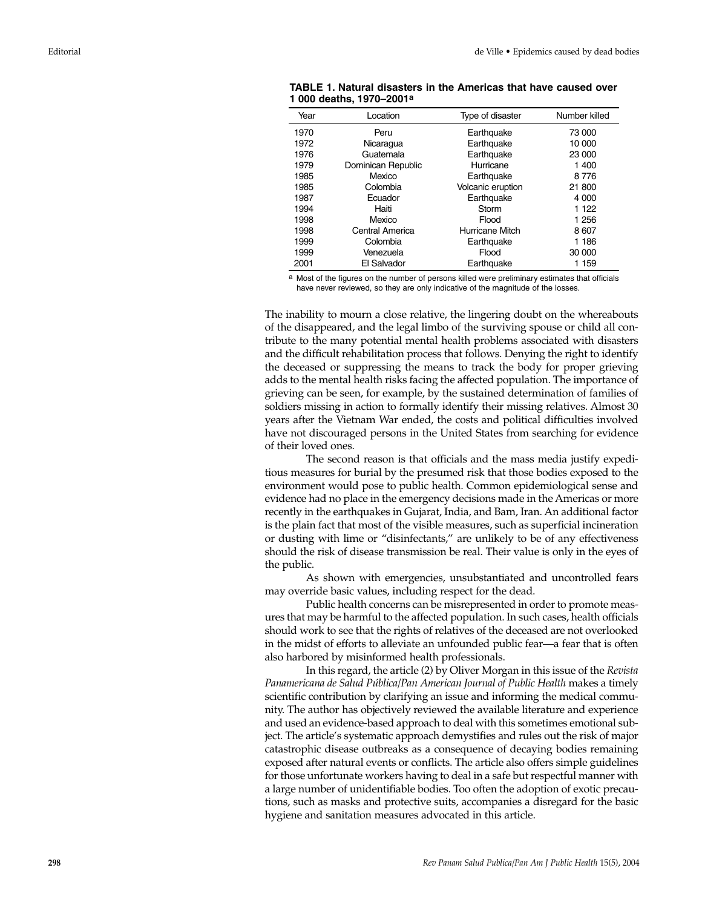| Year | Location           | Type of disaster  | Number killed |
|------|--------------------|-------------------|---------------|
| 1970 | Peru               | Earthquake        | 73 000        |
| 1972 | Nicaragua          | Earthquake        | 10 000        |
| 1976 | Guatemala          | Earthquake        | 23 000        |
| 1979 | Dominican Republic | Hurricane         | 1400          |
| 1985 | Mexico             | Earthquake        | 8776          |
| 1985 | Colombia           | Volcanic eruption | 21 800        |
| 1987 | Ecuador            | Earthquake        | 4 000         |
| 1994 | Haiti              | Storm             | 1 122         |
| 1998 | Mexico             | Flood             | 1 256         |
| 1998 | Central America    | Hurricane Mitch   | 8607          |
| 1999 | Colombia           | Earthquake        | 1 186         |
| 1999 | Venezuela          | Flood             | 30 000        |
| 2001 | El Salvador        | Earthquake        | 1 159         |
|      |                    |                   |               |

**TABLE 1. Natural disasters in the Americas that have caused over 1 000 deaths, 1970–2001 a**

a Most of the figures on the number of persons killed were preliminary estimates that officials have never reviewed, so they are only indicative of the magnitude of the losses.

The inability to mourn a close relative, the lingering doubt on the whereabouts of the disappeared, and the legal limbo of the surviving spouse or child all contribute to the many potential mental health problems associated with disasters and the difficult rehabilitation process that follows. Denying the right to identify the deceased or suppressing the means to track the body for proper grieving adds to the mental health risks facing the affected population. The importance of grieving can be seen, for example, by the sustained determination of families of soldiers missing in action to formally identify their missing relatives. Almost 30 years after the Vietnam War ended, the costs and political difficulties involved have not discouraged persons in the United States from searching for evidence of their loved ones.

The second reason is that officials and the mass media justify expeditious measures for burial by the presumed risk that those bodies exposed to the environment would pose to public health. Common epidemiological sense and evidence had no place in the emergency decisions made in the Americas or more recently in the earthquakes in Gujarat, India, and Bam, Iran. An additional factor is the plain fact that most of the visible measures, such as superficial incineration or dusting with lime or "disinfectants," are unlikely to be of any effectiveness should the risk of disease transmission be real. Their value is only in the eyes of the public.

As shown with emergencies, unsubstantiated and uncontrolled fears may override basic values, including respect for the dead.

Public health concerns can be misrepresented in order to promote measures that may be harmful to the affected population. In such cases, health officials should work to see that the rights of relatives of the deceased are not overlooked in the midst of efforts to alleviate an unfounded public fear—a fear that is often also harbored by misinformed health professionals.

In this regard, the article (2) by Oliver Morgan in this issue of the *Revista Panamericana de Salud Pública/Pan American Journal of Public Health* makes a timely scientific contribution by clarifying an issue and informing the medical community. The author has objectively reviewed the available literature and experience and used an evidence-based approach to deal with this sometimes emotional subject. The article's systematic approach demystifies and rules out the risk of major catastrophic disease outbreaks as a consequence of decaying bodies remaining exposed after natural events or conflicts. The article also offers simple guidelines for those unfortunate workers having to deal in a safe but respectful manner with a large number of unidentifiable bodies. Too often the adoption of exotic precautions, such as masks and protective suits, accompanies a disregard for the basic hygiene and sanitation measures advocated in this article.